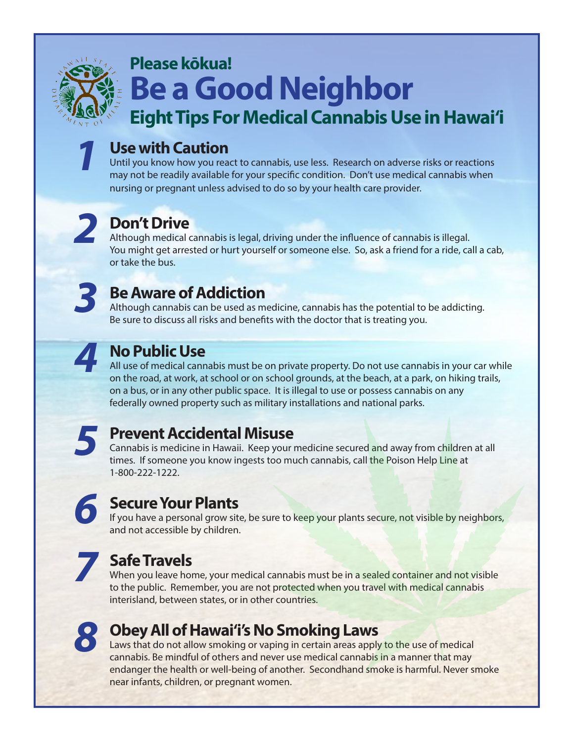

*1*

## **Please kōkua! Be a Good Neighbor**

**Eight Tips For Medical Cannabis Use in Hawai'i**

### **Use with Caution**

Until you know how you react to cannabis, use less. Research on adverse risks or reactions may not be readily available for your specific condition. Don't use medical cannabis when nursing or pregnant unless advised to do so by your health care provider.



### **Don't Drive**

Although medical cannabis is legal, driving under the influence of cannabis is illegal. You might get arrested or hurt yourself or someone else. So, ask a friend for a ride, call a cab, or take the bus.



#### **Be Aware of Addiction**

Although cannabis can be used as medicine, cannabis has the potential to be addicting. Be sure to discuss all risks and benefits with the doctor that is treating you.



#### **No Public Use**

All use of medical cannabis must be on private property. Do not use cannabis in your car while on the road, at work, at school or on school grounds, at the beach, at a park, on hiking trails, on a bus, or in any other public space. It is illegal to use or possess cannabis on any federally owned property such as military installations and national parks.



#### **Prevent Accidental Misuse**

Cannabis is medicine in Hawaii. Keep your medicine secured and away from children at all times. If someone you know ingests too much cannabis, call the Poison Help Line at 1-800-222-1222.

# *6*

#### **Secure Your Plants**

If you have a personal grow site, be sure to keep your plants secure, not visible by neighbors, and not accessible by children.



#### **Safe Travels**

When you leave home, your medical cannabis must be in a sealed container and not visible to the public. Remember, you are not protected when you travel with medical cannabis interisland, between states, or in other countries.



#### **Obey All of Hawai'i's No Smoking Laws**

Laws that do not allow smoking or vaping in certain areas apply to the use of medical cannabis. Be mindful of others and never use medical cannabis in a manner that may endanger the health or well-being of another. Secondhand smoke is harmful. Never smoke near infants, children, or pregnant women.